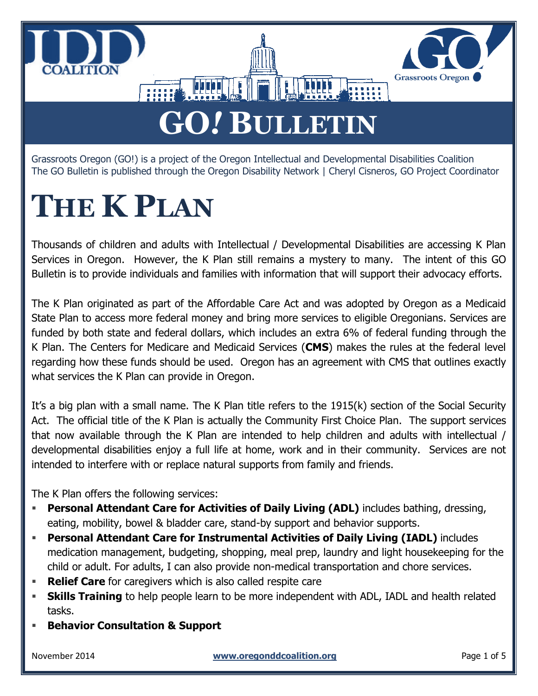



## **GO***!* **BULLETIN**

Grassroots Oregon (GO!) is a project of the Oregon Intellectual and Developmental Disabilities Coalition The GO Bulletin is published through the Oregon Disability Network | Cheryl Cisneros, GO Project Coordinator

## **THE K PLAN**

Thousands of children and adults with Intellectual / Developmental Disabilities are accessing K Plan Services in Oregon. However, the K Plan still remains a mystery to many. The intent of this GO Bulletin is to provide individuals and families with information that will support their advocacy efforts.

The K Plan originated as part of the Affordable Care Act and was adopted by Oregon as a Medicaid State Plan to access more federal money and bring more services to eligible Oregonians. Services are funded by both state and federal dollars, which includes an extra 6% of federal funding through the K Plan. The Centers for Medicare and Medicaid Services (**CMS**) makes the rules at the federal level regarding how these funds should be used. Oregon has an agreement with CMS that outlines exactly what services the K Plan can provide in Oregon.

It's a big plan with a small name. The K Plan title refers to the 1915(k) section of the Social Security Act. The official title of the K Plan is actually the Community First Choice Plan. The support services that now available through the K Plan are intended to help children and adults with intellectual / developmental disabilities enjoy a full life at home, work and in their community. Services are not intended to interfere with or replace natural supports from family and friends.

The K Plan offers the following services:

- **Personal Attendant Care for Activities of Daily Living (ADL)** includes bathing, dressing, eating, mobility, bowel & bladder care, stand-by support and behavior supports.
- **Personal Attendant Care for Instrumental Activities of Daily Living (IADL)** includes medication management, budgeting, shopping, meal prep, laundry and light housekeeping for the child or adult. For adults, I can also provide non-medical transportation and chore services.
- **Relief Care** for caregivers which is also called respite care
- **Skills Training** to help people learn to be more independent with ADL, IADL and health related tasks.
- **Behavior Consultation & Support**

November 2014 **www.oregonddcoalition.org** Page 1 of 5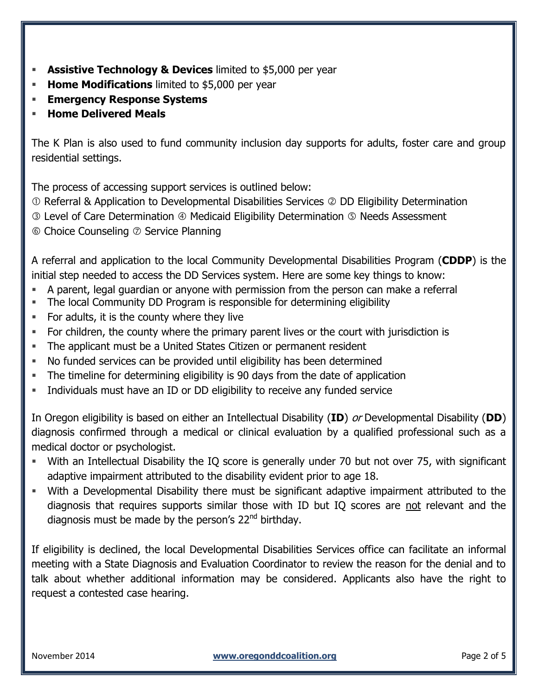- **Assistive Technology & Devices** limited to \$5,000 per year
- **Home Modifications** limited to \$5,000 per year
- **Emergency Response Systems**
- **Home Delivered Meals**

The K Plan is also used to fund community inclusion day supports for adults, foster care and group residential settings.

The process of accessing support services is outlined below:

- Referral & Application to Developmental Disabilities Services DD Eligibility Determination
- **<b>**  Level of Care Determination  $\Phi$  Medicaid Eligibility Determination  $\Phi$  Needs Assessment
- $\circledcirc$  Choice Counseling  $\circledcirc$  Service Planning

A referral and application to the local Community Developmental Disabilities Program (**CDDP**) is the initial step needed to access the DD Services system. Here are some key things to know:

- A parent, legal guardian or anyone with permission from the person can make a referral
- The local Community DD Program is responsible for determining eligibility
- For adults, it is the county where they live
- For children, the county where the primary parent lives or the court with jurisdiction is
- The applicant must be a United States Citizen or permanent resident
- No funded services can be provided until eligibility has been determined
- The timeline for determining eligibility is 90 days from the date of application
- **Individuals must have an ID or DD eligibility to receive any funded service**

In Oregon eligibility is based on either an Intellectual Disability (**ID**) or Developmental Disability (**DD**) diagnosis confirmed through a medical or clinical evaluation by a qualified professional such as a medical doctor or psychologist.

- With an Intellectual Disability the IQ score is generally under 70 but not over 75, with significant adaptive impairment attributed to the disability evident prior to age 18.
- With a Developmental Disability there must be significant adaptive impairment attributed to the diagnosis that requires supports similar those with ID but IQ scores are not relevant and the diagnosis must be made by the person's  $22<sup>nd</sup>$  birthday.

If eligibility is declined, the local Developmental Disabilities Services office can facilitate an informal meeting with a State Diagnosis and Evaluation Coordinator to review the reason for the denial and to talk about whether additional information may be considered. Applicants also have the right to request a contested case hearing.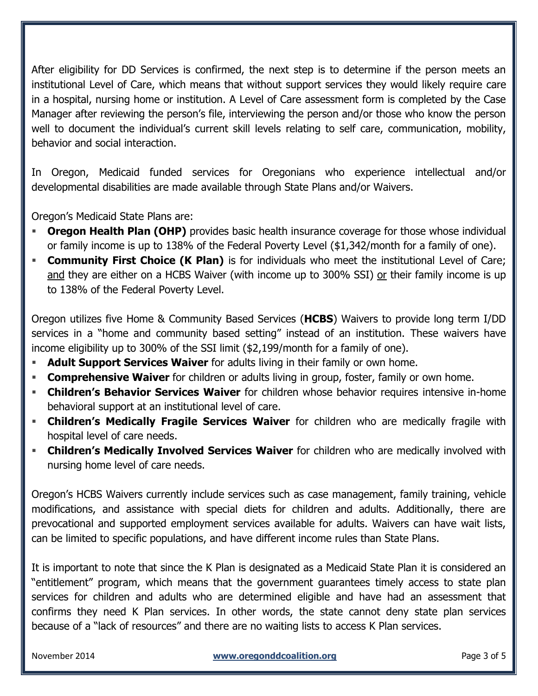After eligibility for DD Services is confirmed, the next step is to determine if the person meets an institutional Level of Care, which means that without support services they would likely require care in a hospital, nursing home or institution. A Level of Care assessment form is completed by the Case Manager after reviewing the person's file, interviewing the person and/or those who know the person well to document the individual's current skill levels relating to self care, communication, mobility, behavior and social interaction.

In Oregon, Medicaid funded services for Oregonians who experience intellectual and/or developmental disabilities are made available through State Plans and/or Waivers.

Oregon's Medicaid State Plans are:

- **Oregon Health Plan (OHP)** provides basic health insurance coverage for those whose individual or family income is up to 138% of the Federal Poverty Level (\$1,342/month for a family of one).
- **Community First Choice (K Plan)** is for individuals who meet the institutional Level of Care; and they are either on a HCBS Waiver (with income up to 300% SSI) or their family income is up to 138% of the Federal Poverty Level.

Oregon utilizes five Home & Community Based Services (**HCBS**) Waivers to provide long term I/DD services in a "home and community based setting" instead of an institution. These waivers have income eligibility up to 300% of the SSI limit (\$2,199/month for a family of one).

- **Adult Support Services Waiver** for adults living in their family or own home.
- **Comprehensive Waiver** for children or adults living in group, foster, family or own home.
- **Children's Behavior Services Waiver** for children whose behavior requires intensive in-home behavioral support at an institutional level of care.
- **Children's Medically Fragile Services Waiver** for children who are medically fragile with hospital level of care needs.
- **Children's Medically Involved Services Waiver** for children who are medically involved with nursing home level of care needs.

Oregon's HCBS Waivers currently include services such as case management, family training, vehicle modifications, and assistance with special diets for children and adults. Additionally, there are prevocational and supported employment services available for adults. Waivers can have wait lists, can be limited to specific populations, and have different income rules than State Plans.

It is important to note that since the K Plan is designated as a Medicaid State Plan it is considered an "entitlement" program, which means that the government guarantees timely access to state plan services for children and adults who are determined eligible and have had an assessment that confirms they need K Plan services. In other words, the state cannot deny state plan services because of a "lack of resources" and there are no waiting lists to access K Plan services.

November 2014 **by a straight and straight www.oregonddcoalition.org Page 3 of 5** and Page 3 of 5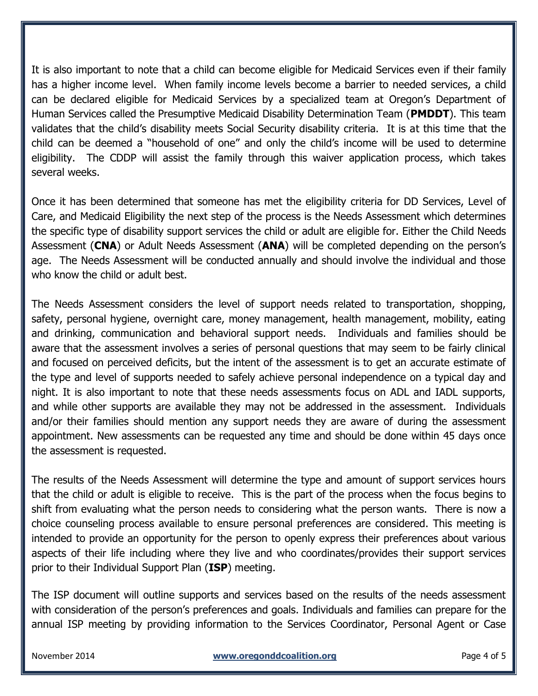It is also important to note that a child can become eligible for Medicaid Services even if their family has a higher income level. When family income levels become a barrier to needed services, a child can be declared eligible for Medicaid Services by a specialized team at Oregon's Department of Human Services called the Presumptive Medicaid Disability Determination Team (**PMDDT**). This team validates that the child's disability meets Social Security disability criteria. It is at this time that the child can be deemed a "household of one" and only the child's income will be used to determine eligibility. The CDDP will assist the family through this waiver application process, which takes several weeks.

Once it has been determined that someone has met the eligibility criteria for DD Services, Level of Care, and Medicaid Eligibility the next step of the process is the Needs Assessment which determines the specific type of disability support services the child or adult are eligible for. Either the Child Needs Assessment (**CNA**) or Adult Needs Assessment (**ANA**) will be completed depending on the person's age. The Needs Assessment will be conducted annually and should involve the individual and those who know the child or adult best.

The Needs Assessment considers the level of support needs related to transportation, shopping, safety, personal hygiene, overnight care, money management, health management, mobility, eating and drinking, communication and behavioral support needs. Individuals and families should be aware that the assessment involves a series of personal questions that may seem to be fairly clinical and focused on perceived deficits, but the intent of the assessment is to get an accurate estimate of the type and level of supports needed to safely achieve personal independence on a typical day and night. It is also important to note that these needs assessments focus on ADL and IADL supports, and while other supports are available they may not be addressed in the assessment. Individuals and/or their families should mention any support needs they are aware of during the assessment appointment. New assessments can be requested any time and should be done within 45 days once the assessment is requested.

The results of the Needs Assessment will determine the type and amount of support services hours that the child or adult is eligible to receive. This is the part of the process when the focus begins to shift from evaluating what the person needs to considering what the person wants. There is now a choice counseling process available to ensure personal preferences are considered. This meeting is intended to provide an opportunity for the person to openly express their preferences about various aspects of their life including where they live and who coordinates/provides their support services prior to their Individual Support Plan (**ISP**) meeting.

The ISP document will outline supports and services based on the results of the needs assessment with consideration of the person's preferences and goals. Individuals and families can prepare for the annual ISP meeting by providing information to the Services Coordinator, Personal Agent or Case